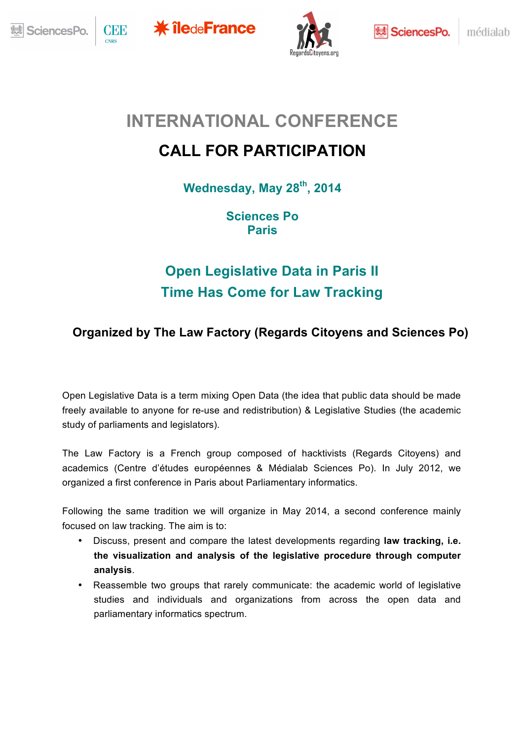









médialab

# **INTERNATIONAL CONFERENCE**

# **CALL FOR PARTICIPATION**

**Wednesday, May 28th, 2014**

**Sciences Po Paris**

# **Open Legislative Data in Paris II Time Has Come for Law Tracking**

### **Organized by The Law Factory (Regards Citoyens and Sciences Po)**

Open Legislative Data is a term mixing Open Data (the idea that public data should be made<br>freely available to anyone for re use and redistribution) & Legislative Studies (the academic freely available to anyone for re-use and redistribution) & Legislative Studies (the academic study of parliaments and legislators).

The Law Factory is a French group composed of hacktivists (Regards Citoyens) and academics (Centre d'études européennes & Médialab Sciences Po). In July 2012, we organized a first conference in Paris about Parliamentary informatics.

Following the same tradition we will organize in May 2014, a second conference mainly Focused on law tracking. The aim is to: focused on law tracking. The aim is to:

- Discuss, present and compare the latest developments regarding **law tracking, i.e. the visualization and analysis of the legislative procedure through computer analysis**.
- Reassemble two groups that rarely communicate: the academic world of legislative studies and individuals and organizations from across the open data and parliamentary informatics spectrum. <u>n</u>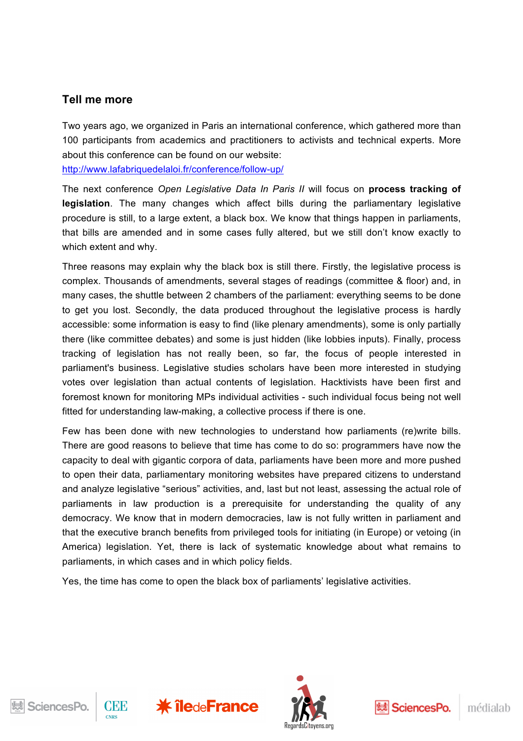#### **Tell me more**

Two years ago, we organized in Paris an international conference, which gathered more than 100 participants from academics and practitioners to activists and technical experts. More about this conference can be found on our website:

http://www.lafabriquedelaloi.fr/conference/follow-up/

The next conference *Open Legislative Data In Paris II* will focus on **process tracking of legislation**. The many changes which affect bills during the parliamentary legislative procedure is still, to a large extent, a black box. We know that things happen in parliaments, that bills are amended and in some cases fully altered, but we still don't know exactly to which extent and why.

Three reasons may explain why the black box is still there. Firstly, the legislative process is complex. Thousands of amendments, several stages of readings (committee & floor) and, in many cases, the shuttle between 2 chambers of the parliament: everything seems to be done to get you lost. Secondly, the data produced throughout the legislative process is hardly accessible: some information is easy to find (like plenary amendments), some is only partially there (like committee debates) and some is just hidden (like lobbies inputs). Finally, process tracking of legislation has not really been, so far, the focus of people interested in parliament's business. Legislative studies scholars have been more interested in studying votes over legislation than actual contents of legislation. Hacktivists have been first and foremost known for monitoring MPs individual activities - such individual focus being not well fitted for understanding law-making, a collective process if there is one.

Few has been done with new technologies to understand how parliaments (re)write bills. There are good reasons to believe that time has come to do so: programmers have now the capacity to deal with gigantic corpora of data, parliaments have been more and more pushed to open their data, parliamentary monitoring websites have prepared citizens to understand and analyze legislative "serious" activities, and, last but not least, assessing the actual role of parliaments in law production is a prerequisite for understanding the quality of any democracy. We know that in modern democracies, law is not fully written in parliament and that the executive branch benefits from privileged tools for initiating (in Europe) or vetoing (in America) legislation. Yet, there is lack of systematic knowledge about what remains to parliaments, in which cases and in which policy fields.

Yes, the time has come to open the black box of parliaments' legislative activities.









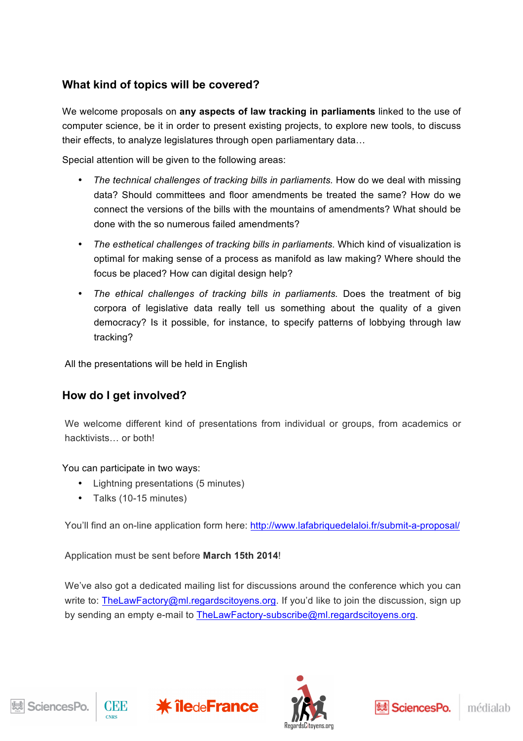### **What kind of topics will be covered?**

We welcome proposals on **any aspects of law tracking in parliaments** linked to the use of computer science, be it in order to present existing projects, to explore new tools, to discuss their effects, to analyze legislatures through open parliamentary data…

Special attention will be given to the following areas:

- *The technical challenges of tracking bills in parliaments.* How do we deal with missing data? Should committees and floor amendments be treated the same? How do we connect the versions of the bills with the mountains of amendments? What should be done with the so numerous failed amendments?
- The esthetical challenges of tracking bills in parliaments. Which kind of visualization is optimal for making sense of a process as manifold as law making? Where should the focus be placed? How can digital design help?
- *The ethical challenges of tracking bills in parliaments.* Does the treatment of big corpora of legislative data really tell us something about the quality of a given democracy? Is it possible, for instance, to specify patterns of lobbying through law tracking?

All the presentations will be held in English

#### **How do I get involved?**

We welcome different kind of presentations from individual or groups, from academics or hacktivists… or both!

#### You can participate in two ways:

- Lightning presentations (5 minutes)
- Talks (10-15 minutes)

You'll find an on-line application form here: http://www.lafabriquedelaloi.fr/submit-a-proposal/

Application must be sent before **March 15th 2014**!

We've also got a dedicated mailing list for discussions around the conference which you can write to: TheLawFactory@ml.regardscitoyens.org. If you'd like to join the discussion, sign up by sending an empty e-mail to TheLawFactory-subscribe@ml.regardscitoyens.org.